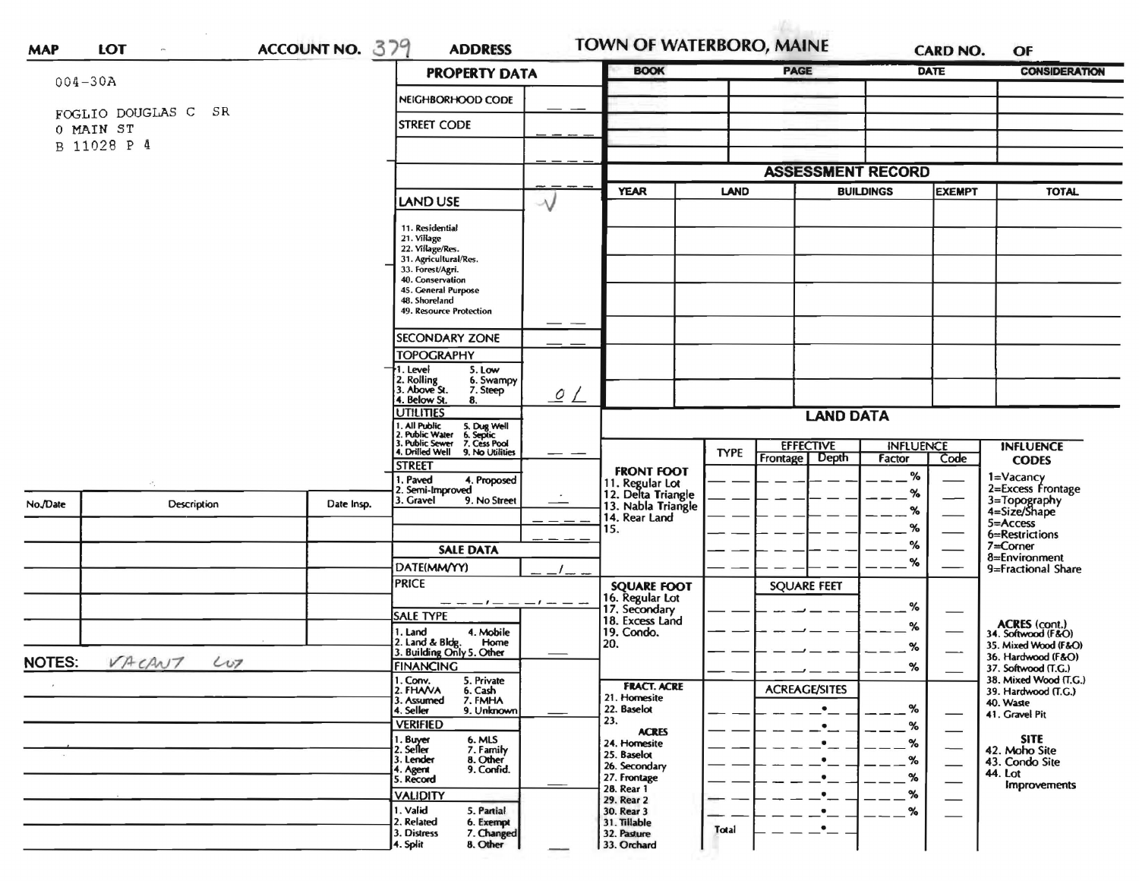|          | $004 - 30A$              |                                                                               | <b>PROPERTY DATA</b>                                            |                                                   | <b>BOOK</b>                                                 |                  | <b>PAGE</b>              |                  | <b>DATE</b>              | <b>CONSIDERATION</b>                              |
|----------|--------------------------|-------------------------------------------------------------------------------|-----------------------------------------------------------------|---------------------------------------------------|-------------------------------------------------------------|------------------|--------------------------|------------------|--------------------------|---------------------------------------------------|
|          |                          |                                                                               | NEIGHBORHOOD CODE                                               |                                                   |                                                             |                  |                          |                  |                          |                                                   |
|          | SR<br>FOGLIO DOUGLAS C   | <b>STREET CODE</b>                                                            |                                                                 |                                                   |                                                             |                  |                          |                  |                          |                                                   |
|          | 0 MAIN ST<br>B 11028 P 4 |                                                                               |                                                                 |                                                   |                                                             |                  |                          |                  |                          |                                                   |
|          |                          |                                                                               |                                                                 |                                                   |                                                             |                  |                          |                  |                          |                                                   |
|          |                          |                                                                               |                                                                 |                                                   |                                                             |                  | <b>ASSESSMENT RECORD</b> |                  |                          |                                                   |
|          |                          |                                                                               | <b>LAND USE</b>                                                 | $\rightsquigarrow$                                | <b>YEAR</b>                                                 | <b>LAND</b>      |                          | <b>BUILDINGS</b> | <b>EXEMPT</b>            | <b>TOTAL</b>                                      |
|          |                          |                                                                               | 11. Residential                                                 |                                                   |                                                             |                  |                          |                  |                          |                                                   |
|          |                          |                                                                               | 21. Village                                                     |                                                   |                                                             |                  |                          |                  |                          |                                                   |
|          |                          |                                                                               | 22. Village/Res.<br>31. Agricultural/Res.                       |                                                   |                                                             |                  |                          |                  |                          |                                                   |
|          |                          |                                                                               | 33. Forest/Agri.<br>40. Conservation                            |                                                   |                                                             |                  |                          |                  |                          |                                                   |
|          |                          |                                                                               | 45. General Purpose<br>48. Shoreland<br>49. Resource Protection |                                                   |                                                             |                  |                          |                  |                          |                                                   |
|          |                          |                                                                               |                                                                 |                                                   |                                                             |                  |                          |                  |                          |                                                   |
|          |                          |                                                                               |                                                                 |                                                   |                                                             |                  |                          |                  |                          |                                                   |
|          |                          |                                                                               | <b>SECONDARY ZONE</b><br><b>TOPOGRAPHY</b>                      |                                                   |                                                             |                  |                          |                  |                          |                                                   |
|          |                          |                                                                               | 1. Level<br>5. Low                                              |                                                   |                                                             |                  |                          |                  |                          |                                                   |
|          |                          |                                                                               | 2. Rolling<br>3. Above St.<br>7. Steep                          | 6. Swampy                                         |                                                             |                  |                          |                  |                          |                                                   |
|          |                          |                                                                               | 4. Below St.<br>8.<br><b>UTILITIES</b>                          | $\overline{\mathcal{Q}}$ $\overline{\mathcal{L}}$ |                                                             |                  |                          |                  |                          |                                                   |
|          |                          |                                                                               | . All Public                                                    |                                                   | <b>LAND DATA</b>                                            |                  |                          |                  |                          |                                                   |
|          |                          | 5. Dug Well<br>6. Septic<br>7. Cess Pool<br>. Public Water<br>3. Public Sewer |                                                                 |                                                   |                                                             | <b>EFFECTIVE</b> | <b>INFLUENCE</b>         |                  | <b>INFLUENCE</b>         |                                                   |
|          |                          |                                                                               | 4. Drilled Well<br>9. No Utilities<br>STREET                    |                                                   |                                                             | <b>TYPE</b>      | Frontage Depth           | Factor           | Code                     | <b>CODES</b>                                      |
|          |                          |                                                                               | I. Paved                                                        | 4. Proposed                                       | <b>FRONT FOOT</b>                                           |                  |                          | %                |                          | 1=Vacancy                                         |
| No./Date | Description              | Date Insp.                                                                    | 2. Semi-Improved<br>3. Gravel                                   | 9. No Street                                      | 11. Regular Lot<br>12. Delta Triangle<br>13. Nabla Triangle |                  |                          | %                |                          | 2=Excess Frontage<br>3=Topography<br>4=Size/Shape |
|          |                          |                                                                               |                                                                 |                                                   | 14. Rear Land                                               |                  |                          | %                |                          | 5=Access                                          |
|          |                          |                                                                               |                                                                 |                                                   | 15.                                                         |                  |                          | %                |                          | 6=Restrictions                                    |
|          |                          |                                                                               | <b>SALE DATA</b>                                                |                                                   |                                                             |                  |                          | ℅                |                          | 7=Corner<br>8=Environment                         |
|          |                          |                                                                               | DATE(MM/YY)                                                     |                                                   |                                                             |                  |                          | %                |                          | 9=Fractional Share                                |
|          |                          |                                                                               | <b>PRICE</b>                                                    |                                                   | <b>SQUARE FOOT</b>                                          |                  | <b>SQUARE FEET</b>       |                  |                          |                                                   |
|          |                          |                                                                               |                                                                 | — — — / — — — / — — —                             | 16. Regular Lot<br>17. Secondary                            |                  |                          | %                |                          |                                                   |
|          |                          |                                                                               | <b>SALE TYPE</b><br>1. Land                                     | 4. Mobile                                         | 18. Excess Land<br>19. Condo.                               |                  |                          | ℅                |                          | ACRES (cont.)<br>34. Softwood (F&O)               |
|          |                          |                                                                               | 2. Land & Bldg. Home<br>3. Building Only 5. Other               | Home                                              | 20.                                                         |                  |                          | %                |                          | 35. Mixed Wood (F&O)                              |
| NOTES:   | VACANT LUT               |                                                                               | <b>FINANCING</b>                                                |                                                   |                                                             |                  |                          | $\%$             |                          | 36. Hardwood (F&O)<br>37. Softwood (T.G.)         |
|          |                          |                                                                               | 1. Conv.<br>5. Private                                          |                                                   | <b>FRACT. ACRE</b>                                          |                  |                          |                  |                          | 38. Mixed Wood (T.G.)                             |
|          |                          |                                                                               | 2. FHAVA<br>6. Cash<br>7. FMHA<br>3. Assumed                    |                                                   | 21. Homesite                                                |                  | <b>ACREAGE/SITES</b>     |                  |                          | 39. Hardwood (T.G.)<br>40. Waste                  |
|          |                          |                                                                               | 4. Seller                                                       | 9. Unknown                                        | 22. Baselot<br>23.                                          |                  |                          | $\frac{9}{6}$    |                          | 41. Gravel Pit                                    |
|          |                          |                                                                               | <b>VERIFIED</b><br>1. Buyer                                     |                                                   | <b>ACRES</b>                                                |                  |                          | %                |                          | <b>SITE</b>                                       |
|          |                          |                                                                               | 6. MLS<br>7. Family<br>8. Other<br>2. Seller<br>3. Lender       |                                                   | 24. Homesite<br>25. Baselot                                 |                  |                          | %                | $\overline{\phantom{0}}$ | 42. Moho Site                                     |
|          |                          |                                                                               | 9. Confid.<br>4. Agent                                          |                                                   | 26. Secondary<br>27. Frontage                               |                  |                          | %                | $\overline{\phantom{0}}$ | 43. Condo Site<br>44. Lot                         |
|          |                          |                                                                               | 5. Record<br><b>VALIDITY</b>                                    |                                                   | 28. Rear 1                                                  |                  |                          |                  |                          | Improvements                                      |
|          |                          |                                                                               | 1. Valid<br>5. Partial                                          |                                                   | 29. Rear 2<br>30. Rear 3                                    |                  |                          | %                |                          |                                                   |
|          |                          |                                                                               | 2. Related                                                      | 6. Exempt<br>7. Changed                           | 31. Tillable                                                | Total            |                          |                  |                          |                                                   |
|          |                          |                                                                               | 3. Distress                                                     |                                                   | 32. Pasture                                                 |                  |                          |                  |                          |                                                   |